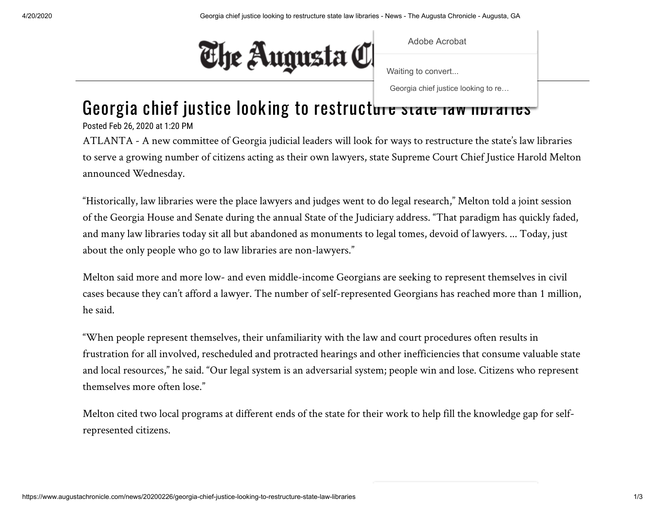

Adobe Acrobat

[Waiting to convert...](https://www.augustachronicle.com/)

Georgia chief justice looking to re…

## Georgia chief justice looking to restructure state law intraries

Posted Feb 26, 2020 at 1:20 PM

ATLANTA - A new committee of Georgia judicial leaders will look for ways to restructure the state's law libraries to serve a growing number of citizens acting as their own lawyers, state Supreme Court Chief Justice Harold Melton announced Wednesday.

"Historically, law libraries were the place lawyers and judges went to do legal research," Melton told a joint session of the Georgia House and Senate during the annual State of the Judiciary address. "That paradigm has quickly faded, and many law libraries today sit all but abandoned as monuments to legal tomes, devoid of lawyers. ... Today, just about the only people who go to law libraries are non-lawyers."

Melton said more and more low- and even middle-income Georgians are seeking to represent themselves in civil cases because they can't afford a lawyer. The number of self-represented Georgians has reached more than 1 million, he said.

"When people represent themselves, their unfamiliarity with the law and court procedures often results in frustration for all involved, rescheduled and protracted hearings and other inefficiencies that consume valuable state and local resources," he said. "Our legal system is an adversarial system; people win and lose. Citizens who represent themselves more often lose."

Melton cited two local programs at different ends of the state for their work to help fill the knowledge gap for selfrepresented citizens.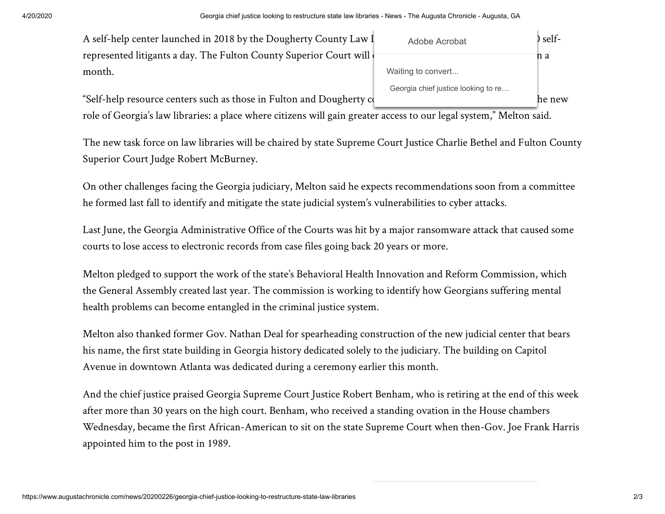| A self-help center launched in 2018 by the Dougherty County Law I  | Adobe Acrobat                       | self- |
|--------------------------------------------------------------------|-------------------------------------|-------|
| represented litigants a day. The Fulton County Superior Court will |                                     | n a   |
| month.                                                             | Waiting to convert                  |       |
|                                                                    | Georgia chief justice looking to re |       |

'Self-help resource centers such as those in Fulton and Dougherty  ${\mathsf c}$  and the potential to embody the new

role of Georgia's law libraries: a place where citizens will gain greater access to our legal system," Melton said.

The new task force on law libraries will be chaired by state Supreme Court Justice Charlie Bethel and Fulton County Superior Court Judge Robert McBurney.

On other challenges facing the Georgia judiciary, Melton said he expects recommendations soon from a committee he formed last fall to identify and mitigate the state judicial system's vulnerabilities to cyber attacks.

Last June, the Georgia Administrative Office of the Courts was hit by a major ransomware attack that caused some courts to lose access to electronic records from case files going back 20 years or more.

Melton pledged to support the work of the state's Behavioral Health Innovation and Reform Commission, which the General Assembly created last year. The commission is working to identify how Georgians suffering mental health problems can become entangled in the criminal justice system.

Melton also thanked former Gov. Nathan Deal for spearheading construction of the new judicial center that bears his name, the first state building in Georgia history dedicated solely to the judiciary. The building on Capitol Avenue in downtown Atlanta was dedicated during a ceremony earlier this month.

And the chief justice praised Georgia Supreme Court Justice Robert Benham, who is retiring at the end of this week after more than 30 years on the high court. Benham, who received a standing ovation in the House chambers Wednesday, became the first African-American to sit on the state Supreme Court when then-Gov. Joe Frank Harris appointed him to the post in 1989.